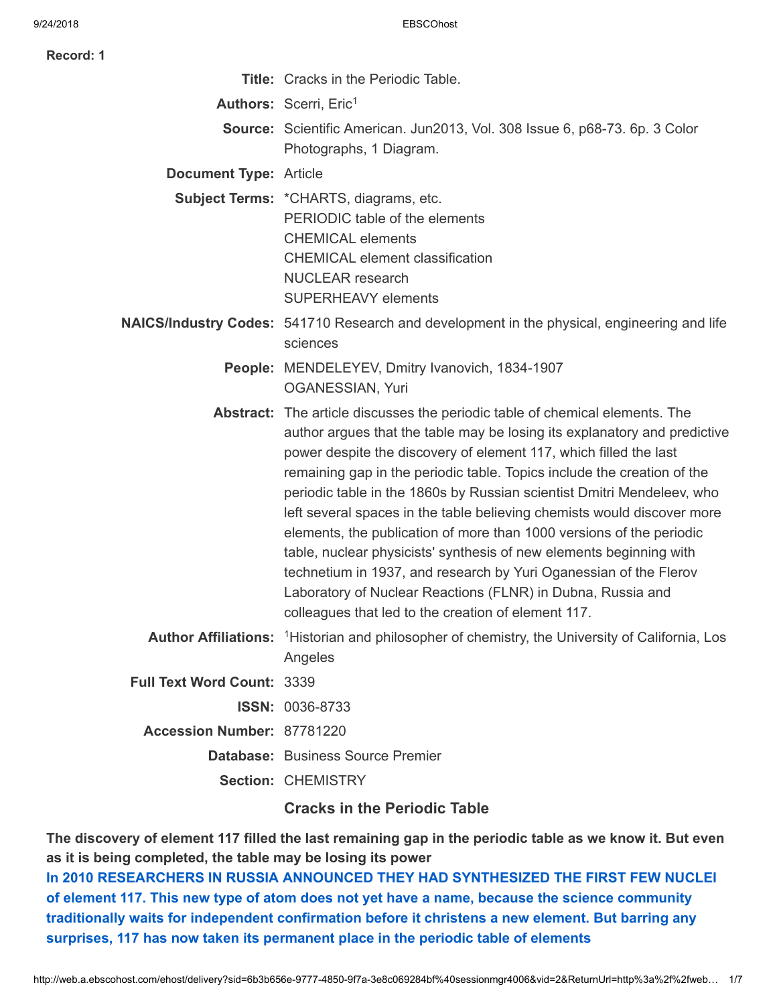### **Record: 1**

**Title:** Cracks in the Periodic Table. **Authors:** Scerri, Eric 1 **Source:** Scientific American. Jun2013, Vol. 308 Issue 6, p68-73. 6p. 3 Color **Document Type:** Article **Subject Terms:** \*CHARTS, diagrams, etc. **NAICS/Industry Codes:** 541710 Research and development in the physical, engineering and life **People:** MENDELEYEV, Dmitry Ivanovich, 1834-1907 Abstract: The article discusses the periodic table of chemical elements. The Author Affiliations: <sup>1</sup>Historian and philosopher of chemistry, the University of California, Los **Full Text Word Count:** 3339 **ISSN:** 0036-8733 **Accession Number:** 87781220 **Database:** Business Source Premier **Section:** CHEMISTRY Photographs, 1 Diagram. PERIODIC table of the elements CHEMICAL elements CHEMICAL element classification NUCLEAR research SUPERHEAVY elements sciences OGANESSIAN, Yuri author argues that the table may be losing its explanatory and predictive power despite the discovery of element 117, which filled the last remaining gap in the periodic table. Topics include the creation of the periodic table in the 1860s by Russian scientist Dmitri Mendeleev, who left several spaces in the table believing chemists would discover more elements, the publication of more than 1000 versions of the periodic table, nuclear physicists' synthesis of new elements beginning with technetium in 1937, and research by Yuri Oganessian of the Flerov Laboratory of Nuclear Reactions (FLNR) in Dubna, Russia and colleagues that led to the creation of element 117. Angeles

## **Cracks in the Periodic Table**

The discovery of element 117 filled the last remaining gap in the periodic table as we know it. But even **as it is being completed, the table may be losing its power In 2010 RESEARCHERS IN RUSSIA ANNOUNCED THEY HAD SYNTHESIZED THE FIRST FEW NUCLEI of element 117. This new type of atom does not yet have a name, because the science community traditionally waits for independent confirmation before it christens a new element. But barring any surprises, 117 has now taken its permanent place in the periodic table of elements**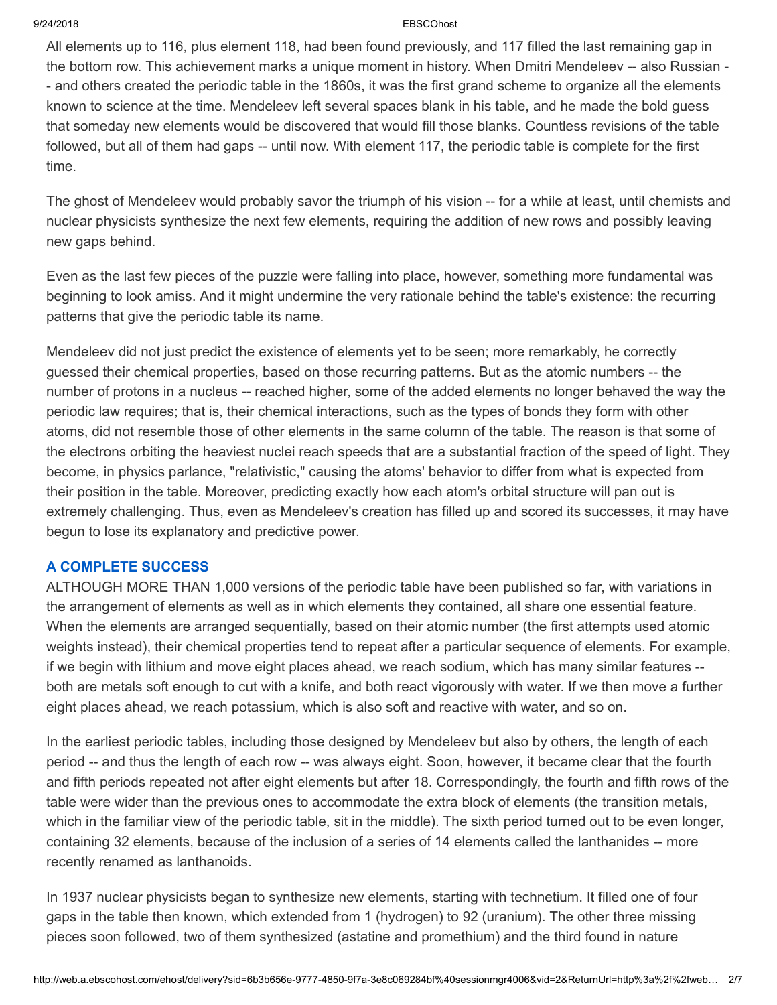All elements up to 116, plus element 118, had been found previously, and 117 filled the last remaining gap in the bottom row. This achievement marks a unique moment in history. When Dmitri Mendeleev -- also Russian - - and others created the periodic table in the 1860s, it was the first grand scheme to organize all the elements known to science at the time. Mendeleev left several spaces blank in his table, and he made the bold guess that someday new elements would be discovered that would fill those blanks. Countless revisions of the table followed, but all of them had gaps -- until now. With element 117, the periodic table is complete for the first time.

The ghost of Mendeleev would probably savor the triumph of his vision -- for a while at least, until chemists and nuclear physicists synthesize the next few elements, requiring the addition of new rows and possibly leaving new gaps behind.

Even as the last few pieces of the puzzle were falling into place, however, something more fundamental was beginning to look amiss. And it might undermine the very rationale behind the table's existence: the recurring patterns that give the periodic table its name.

Mendeleev did not just predict the existence of elements yet to be seen; more remarkably, he correctly guessed their chemical properties, based on those recurring patterns. But as the atomic numbers -- the number of protons in a nucleus -- reached higher, some of the added elements no longer behaved the way the periodic law requires; that is, their chemical interactions, such as the types of bonds they form with other atoms, did not resemble those of other elements in the same column of the table. The reason is that some of the electrons orbiting the heaviest nuclei reach speeds that are a substantial fraction of the speed of light. They become, in physics parlance, "relativistic," causing the atoms' behavior to differ from what is expected from their position in the table. Moreover, predicting exactly how each atom's orbital structure will pan out is extremely challenging. Thus, even as Mendeleev's creation has filled up and scored its successes, it may have begun to lose its explanatory and predictive power.

# **A COMPLETE SUCCESS**

ALTHOUGH MORE THAN 1,000 versions of the periodic table have been published so far, with variations in the arrangement of elements as well as in which elements they contained, all share one essential feature. When the elements are arranged sequentially, based on their atomic number (the first attempts used atomic weights instead), their chemical properties tend to repeat after a particular sequence of elements. For example, if we begin with lithium and move eight places ahead, we reach sodium, which has many similar features - both are metals soft enough to cut with a knife, and both react vigorously with water. If we then move a further eight places ahead, we reach potassium, which is also soft and reactive with water, and so on.

In the earliest periodic tables, including those designed by Mendeleev but also by others, the length of each period -- and thus the length of each row -- was always eight. Soon, however, it became clear that the fourth and fifth periods repeated not after eight elements but after 18. Correspondingly, the fourth and fifth rows of the table were wider than the previous ones to accommodate the extra block of elements (the transition metals, which in the familiar view of the periodic table, sit in the middle). The sixth period turned out to be even longer, containing 32 elements, because of the inclusion of a series of 14 elements called the lanthanides -- more recently renamed as lanthanoids.

In 1937 nuclear physicists began to synthesize new elements, starting with technetium. It filled one of four gaps in the table then known, which extended from 1 (hydrogen) to 92 (uranium). The other three missing pieces soon followed, two of them synthesized (astatine and promethium) and the third found in nature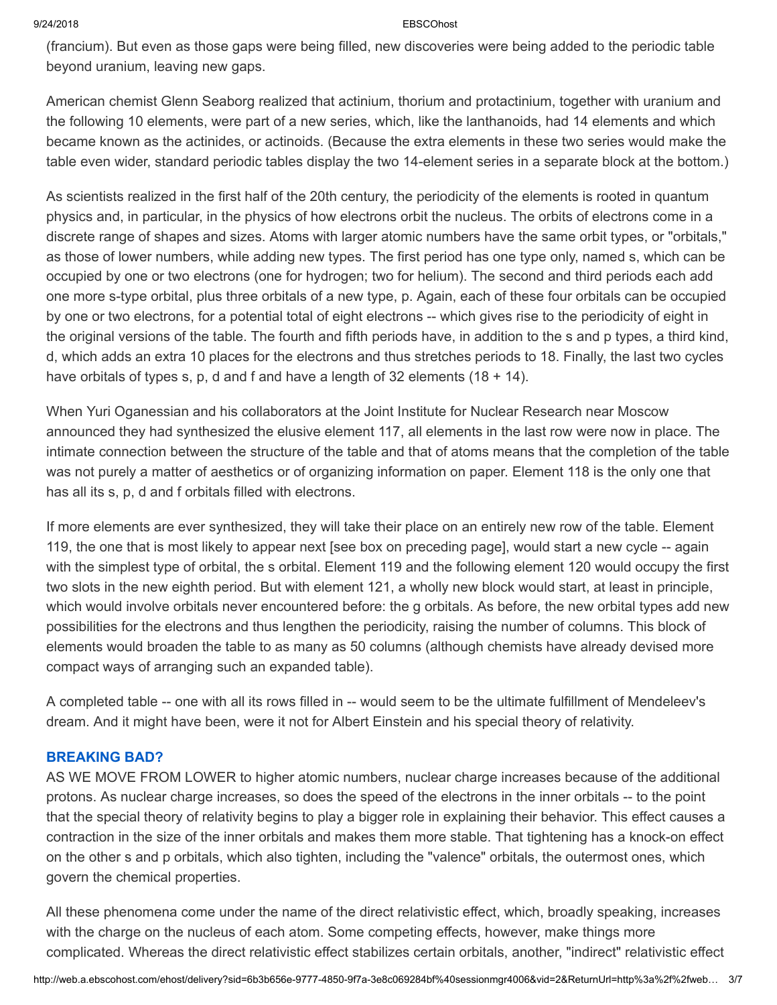(francium). But even as those gaps were being filled, new discoveries were being added to the periodic table beyond uranium, leaving new gaps.

American chemist Glenn Seaborg realized that actinium, thorium and protactinium, together with uranium and the following 10 elements, were part of a new series, which, like the lanthanoids, had 14 elements and which became known as the actinides, or actinoids. (Because the extra elements in these two series would make the table even wider, standard periodic tables display the two 14-element series in a separate block at the bottom.)

As scientists realized in the first half of the 20th century, the periodicity of the elements is rooted in quantum physics and, in particular, in the physics of how electrons orbit the nucleus. The orbits of electrons come in a discrete range of shapes and sizes. Atoms with larger atomic numbers have the same orbit types, or "orbitals," as those of lower numbers, while adding new types. The first period has one type only, named s, which can be occupied by one or two electrons (one for hydrogen; two for helium). The second and third periods each add one more s-type orbital, plus three orbitals of a new type, p. Again, each of these four orbitals can be occupied by one or two electrons, for a potential total of eight electrons -- which gives rise to the periodicity of eight in the original versions of the table. The fourth and fifth periods have, in addition to the s and p types, a third kind, d, which adds an extra 10 places for the electrons and thus stretches periods to 18. Finally, the last two cycles have orbitals of types s, p, d and f and have a length of 32 elements  $(18 + 14)$ .

When Yuri Oganessian and his collaborators at the Joint Institute for Nuclear Research near Moscow announced they had synthesized the elusive element 117, all elements in the last row were now in place. The intimate connection between the structure of the table and that of atoms means that the completion of the table was not purely a matter of aesthetics or of organizing information on paper. Element 118 is the only one that has all its s, p, d and f orbitals filled with electrons.

If more elements are ever synthesized, they will take their place on an entirely new row of the table. Element 119, the one that is most likely to appear next [see box on preceding page], would start a new cycle -- again with the simplest type of orbital, the s orbital. Element 119 and the following element 120 would occupy the first two slots in the new eighth period. But with element 121, a wholly new block would start, at least in principle, which would involve orbitals never encountered before: the g orbitals. As before, the new orbital types add new possibilities for the electrons and thus lengthen the periodicity, raising the number of columns. This block of elements would broaden the table to as many as 50 columns (although chemists have already devised more compact ways of arranging such an expanded table).

A completed table -- one with all its rows filled in -- would seem to be the ultimate fulfillment of Mendeleev's dream. And it might have been, were it not for Albert Einstein and his special theory of relativity.

## **BREAKING BAD?**

AS WE MOVE FROM LOWER to higher atomic numbers, nuclear charge increases because of the additional protons. As nuclear charge increases, so does the speed of the electrons in the inner orbitals -- to the point that the special theory of relativity begins to play a bigger role in explaining their behavior. This effect causes a contraction in the size of the inner orbitals and makes them more stable. That tightening has a knock-on effect on the other s and p orbitals, which also tighten, including the "valence" orbitals, the outermost ones, which govern the chemical properties.

All these phenomena come under the name of the direct relativistic effect, which, broadly speaking, increases with the charge on the nucleus of each atom. Some competing effects, however, make things more complicated. Whereas the direct relativistic effect stabilizes certain orbitals, another, "indirect" relativistic effect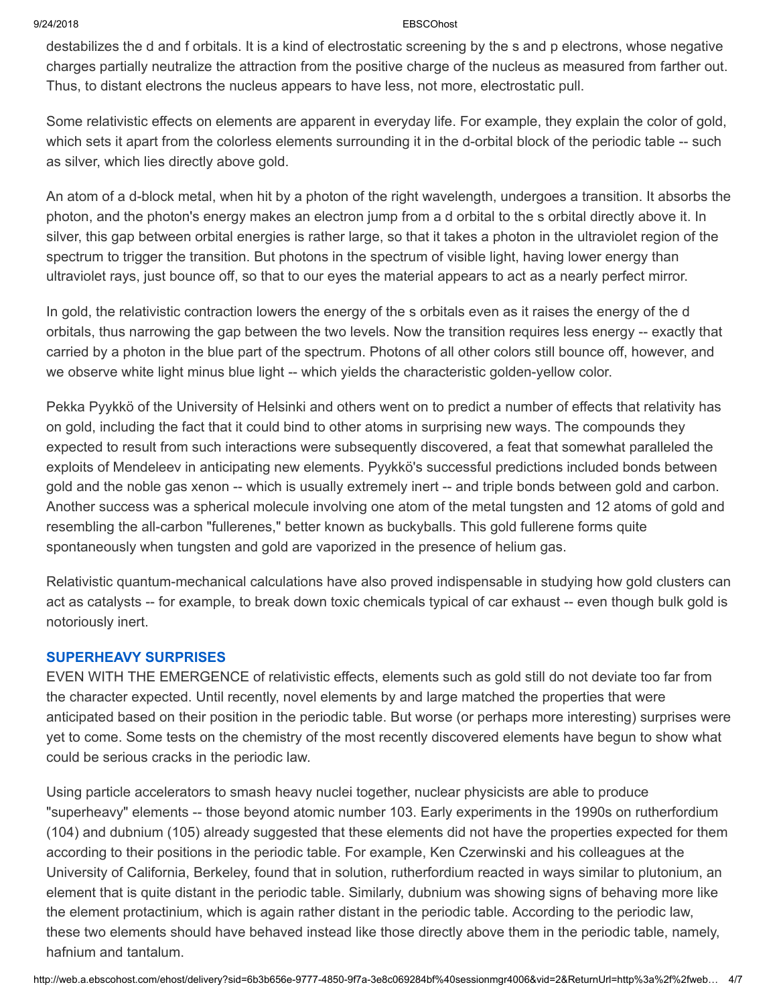destabilizes the d and f orbitals. It is a kind of electrostatic screening by the s and p electrons, whose negative charges partially neutralize the attraction from the positive charge of the nucleus as measured from farther out. Thus, to distant electrons the nucleus appears to have less, not more, electrostatic pull.

Some relativistic effects on elements are apparent in everyday life. For example, they explain the color of gold, which sets it apart from the colorless elements surrounding it in the d-orbital block of the periodic table -- such as silver, which lies directly above gold.

An atom of a d-block metal, when hit by a photon of the right wavelength, undergoes a transition. It absorbs the photon, and the photon's energy makes an electron jump from a d orbital to the s orbital directly above it. In silver, this gap between orbital energies is rather large, so that it takes a photon in the ultraviolet region of the spectrum to trigger the transition. But photons in the spectrum of visible light, having lower energy than ultraviolet rays, just bounce off, so that to our eyes the material appears to act as a nearly perfect mirror.

In gold, the relativistic contraction lowers the energy of the s orbitals even as it raises the energy of the d orbitals, thus narrowing the gap between the two levels. Now the transition requires less energy -- exactly that carried by a photon in the blue part of the spectrum. Photons of all other colors still bounce off, however, and we observe white light minus blue light -- which yields the characteristic golden-yellow color.

Pekka Pyykkö of the University of Helsinki and others went on to predict a number of effects that relativity has on gold, including the fact that it could bind to other atoms in surprising new ways. The compounds they expected to result from such interactions were subsequently discovered, a feat that somewhat paralleled the exploits of Mendeleev in anticipating new elements. Pyykkö's successful predictions included bonds between gold and the noble gas xenon -- which is usually extremely inert -- and triple bonds between gold and carbon. Another success was a spherical molecule involving one atom of the metal tungsten and 12 atoms of gold and resembling the all-carbon "fullerenes," better known as buckyballs. This gold fullerene forms quite spontaneously when tungsten and gold are vaporized in the presence of helium gas.

Relativistic quantum-mechanical calculations have also proved indispensable in studying how gold clusters can act as catalysts -- for example, to break down toxic chemicals typical of car exhaust -- even though bulk gold is notoriously inert.

# **SUPERHEAVY SURPRISES**

EVEN WITH THE EMERGENCE of relativistic effects, elements such as gold still do not deviate too far from the character expected. Until recently, novel elements by and large matched the properties that were anticipated based on their position in the periodic table. But worse (or perhaps more interesting) surprises were yet to come. Some tests on the chemistry of the most recently discovered elements have begun to show what could be serious cracks in the periodic law.

Using particle accelerators to smash heavy nuclei together, nuclear physicists are able to produce "superheavy" elements -- those beyond atomic number 103. Early experiments in the 1990s on rutherfordium (104) and dubnium (105) already suggested that these elements did not have the properties expected for them according to their positions in the periodic table. For example, Ken Czerwinski and his colleagues at the University of California, Berkeley, found that in solution, rutherfordium reacted in ways similar to plutonium, an element that is quite distant in the periodic table. Similarly, dubnium was showing signs of behaving more like the element protactinium, which is again rather distant in the periodic table. According to the periodic law, these two elements should have behaved instead like those directly above them in the periodic table, namely, hafnium and tantalum.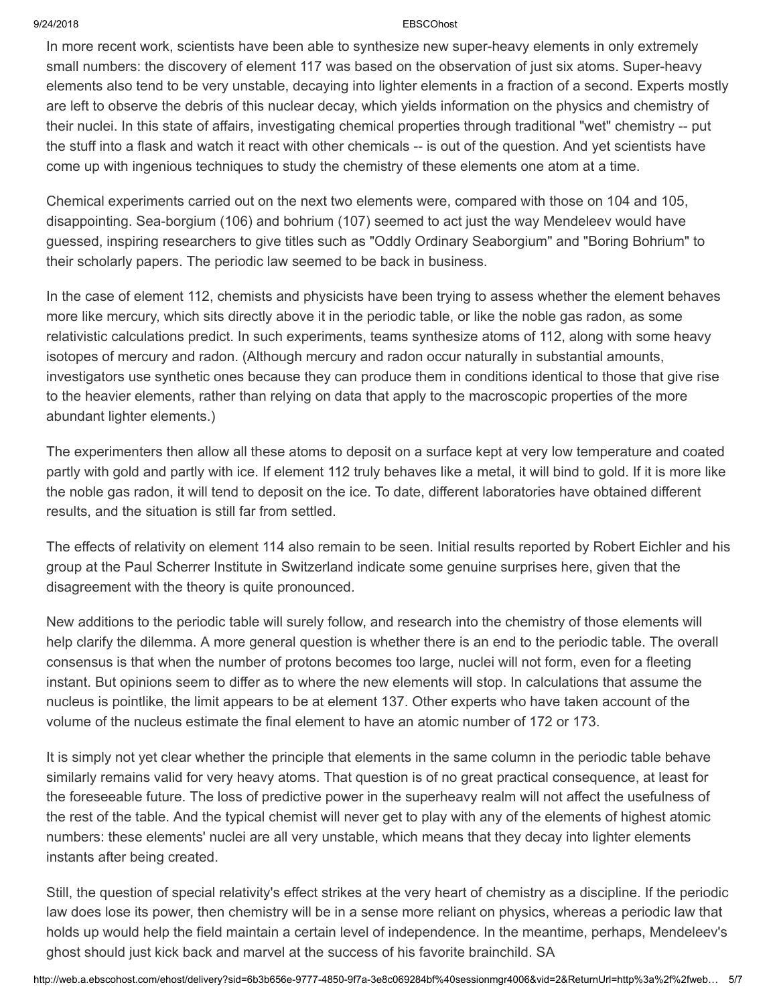In more recent work, scientists have been able to synthesize new super-heavy elements in only extremely small numbers: the discovery of element 117 was based on the observation of just six atoms. Super-heavy elements also tend to be very unstable, decaying into lighter elements in a fraction of a second. Experts mostly are left to observe the debris of this nuclear decay, which yields information on the physics and chemistry of their nuclei. In this state of affairs, investigating chemical properties through traditional "wet" chemistry -- put the stuff into a flask and watch it react with other chemicals -- is out of the question. And yet scientists have come up with ingenious techniques to study the chemistry of these elements one atom at a time.

Chemical experiments carried out on the next two elements were, compared with those on 104 and 105, disappointing. Sea-borgium (106) and bohrium (107) seemed to act just the way Mendeleev would have guessed, inspiring researchers to give titles such as "Oddly Ordinary Seaborgium" and "Boring Bohrium" to their scholarly papers. The periodic law seemed to be back in business.

In the case of element 112, chemists and physicists have been trying to assess whether the element behaves more like mercury, which sits directly above it in the periodic table, or like the noble gas radon, as some relativistic calculations predict. In such experiments, teams synthesize atoms of 112, along with some heavy isotopes of mercury and radon. (Although mercury and radon occur naturally in substantial amounts, investigators use synthetic ones because they can produce them in conditions identical to those that give rise to the heavier elements, rather than relying on data that apply to the macroscopic properties of the more abundant lighter elements.)

The experimenters then allow all these atoms to deposit on a surface kept at very low temperature and coated partly with gold and partly with ice. If element 112 truly behaves like a metal, it will bind to gold. If it is more like the noble gas radon, it will tend to deposit on the ice. To date, different laboratories have obtained different results, and the situation is still far from settled.

The effects of relativity on element 114 also remain to be seen. Initial results reported by Robert Eichler and his group at the Paul Scherrer Institute in Switzerland indicate some genuine surprises here, given that the disagreement with the theory is quite pronounced.

New additions to the periodic table will surely follow, and research into the chemistry of those elements will help clarify the dilemma. A more general question is whether there is an end to the periodic table. The overall consensus is that when the number of protons becomes too large, nuclei will not form, even for a fleeting instant. But opinions seem to differ as to where the new elements will stop. In calculations that assume the nucleus is pointlike, the limit appears to be at element 137. Other experts who have taken account of the volume of the nucleus estimate the final element to have an atomic number of 172 or 173.

It is simply not yet clear whether the principle that elements in the same column in the periodic table behave similarly remains valid for very heavy atoms. That question is of no great practical consequence, at least for the foreseeable future. The loss of predictive power in the superheavy realm will not affect the usefulness of the rest of the table. And the typical chemist will never get to play with any of the elements of highest atomic numbers: these elements' nuclei are all very unstable, which means that they decay into lighter elements instants after being created.

Still, the question of special relativity's effect strikes at the very heart of chemistry as a discipline. If the periodic law does lose its power, then chemistry will be in a sense more reliant on physics, whereas a periodic law that holds up would help the field maintain a certain level of independence. In the meantime, perhaps, Mendeleev's ghost should just kick back and marvel at the success of his favorite brainchild. SA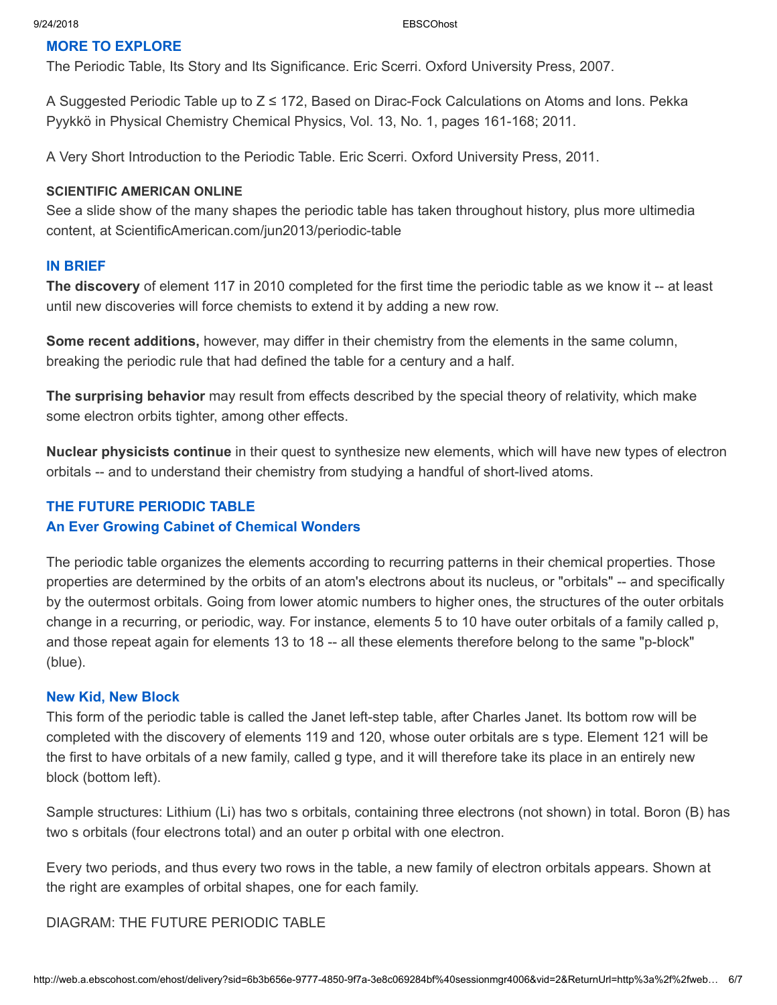# **MORE TO EXPLORE**

The Periodic Table, Its Story and Its Significance. Eric Scerri. Oxford University Press, 2007.

A Suggested Periodic Table up to Z ≤ 172, Based on Dirac-Fock Calculations on Atoms and Ions. Pekka Pyykkö in Physical Chemistry Chemical Physics, Vol. 13, No. 1, pages 161-168; 2011.

A Very Short Introduction to the Periodic Table. Eric Scerri. Oxford University Press, 2011.

## **SCIENTIFIC AMERICAN ONLINE**

See a slide show of the many shapes the periodic table has taken throughout history, plus more ultimedia content, at ScientificAmerican.com/jun2013/periodic-table

## **IN BRIEF**

**The discovery** of element 117 in 2010 completed for the first time the periodic table as we know it -- at least until new discoveries will force chemists to extend it by adding a new row.

**Some recent additions,** however, may differ in their chemistry from the elements in the same column, breaking the periodic rule that had defined the table for a century and a half.

**The surprising behavior** may result from effects described by the special theory of relativity, which make some electron orbits tighter, among other effects.

**Nuclear physicists continue** in their quest to synthesize new elements, which will have new types of electron orbitals -- and to understand their chemistry from studying a handful of short-lived atoms.

# **THE FUTURE PERIODIC TABLE An Ever Growing Cabinet of Chemical Wonders**

The periodic table organizes the elements according to recurring patterns in their chemical properties. Those properties are determined by the orbits of an atom's electrons about its nucleus, or "orbitals" -- and specifically by the outermost orbitals. Going from lower atomic numbers to higher ones, the structures of the outer orbitals change in a recurring, or periodic, way. For instance, elements 5 to 10 have outer orbitals of a family called p, and those repeat again for elements 13 to 18 -- all these elements therefore belong to the same "p-block" (blue).

## **New Kid, New Block**

This form of the periodic table is called the Janet left-step table, after Charles Janet. Its bottom row will be completed with the discovery of elements 119 and 120, whose outer orbitals are s type. Element 121 will be the first to have orbitals of a new family, called g type, and it will therefore take its place in an entirely new block (bottom left).

Sample structures: Lithium (Li) has two s orbitals, containing three electrons (not shown) in total. Boron (B) has two s orbitals (four electrons total) and an outer p orbital with one electron.

Every two periods, and thus every two rows in the table, a new family of electron orbitals appears. Shown at the right are examples of orbital shapes, one for each family.

DIAGRAM: THE FUTURE PERIODIC TABLE